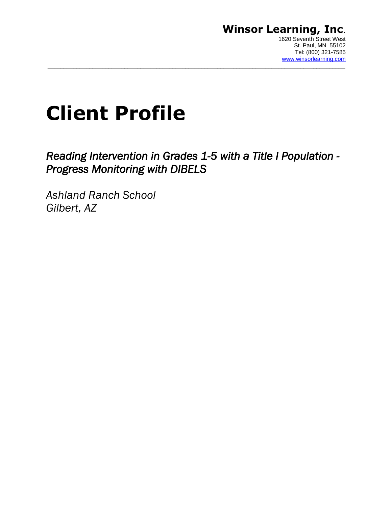## **Winsor Learning, Inc**. 1620 Seventh Street West

# **Client Profile**

*Reading Intervention in Grades 1-5 with a Title I Population - Progress Monitoring with DIBELS* 

 $\_$  ,  $\_$  ,  $\_$  ,  $\_$  ,  $\_$  ,  $\_$  ,  $\_$  ,  $\_$  ,  $\_$  ,  $\_$  ,  $\_$  ,  $\_$  ,  $\_$  ,  $\_$  ,  $\_$  ,  $\_$  ,  $\_$  ,  $\_$  ,  $\_$  ,  $\_$  ,  $\_$  ,  $\_$  ,  $\_$  ,  $\_$  ,  $\_$  ,  $\_$  ,  $\_$  ,  $\_$  ,  $\_$  ,  $\_$  ,  $\_$  ,  $\_$  ,  $\_$  ,  $\_$  ,  $\_$  ,  $\_$  ,  $\_$  ,

*Ashland Ranch School Gilbert, AZ*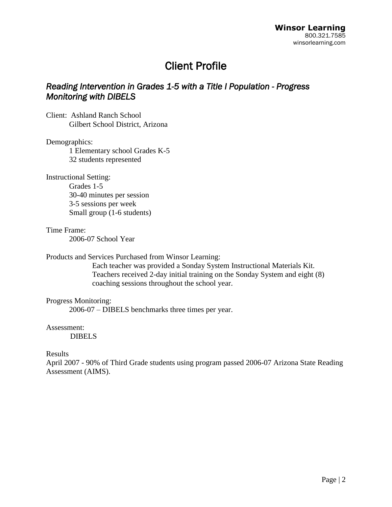# Client Profile

# *Reading Intervention in Grades 1-5 with a Title I Population - Progress Monitoring with DIBELS*

Client: Ashland Ranch School Gilbert School District, Arizona

#### Demographics:

1 Elementary school Grades K-5 32 students represented

Instructional Setting:

Grades 1-5 30-40 minutes per session 3-5 sessions per week Small group (1-6 students)

#### Time Frame:

2006-07 School Year

#### Products and Services Purchased from Winsor Learning:

Each teacher was provided a Sonday System Instructional Materials Kit. Teachers received 2-day initial training on the Sonday System and eight (8) coaching sessions throughout the school year.

#### Progress Monitoring:

2006-07 – DIBELS benchmarks three times per year.

#### Assessment:

DIBELS

#### Results

April 2007 - 90% of Third Grade students using program passed 2006-07 Arizona State Reading Assessment (AIMS).